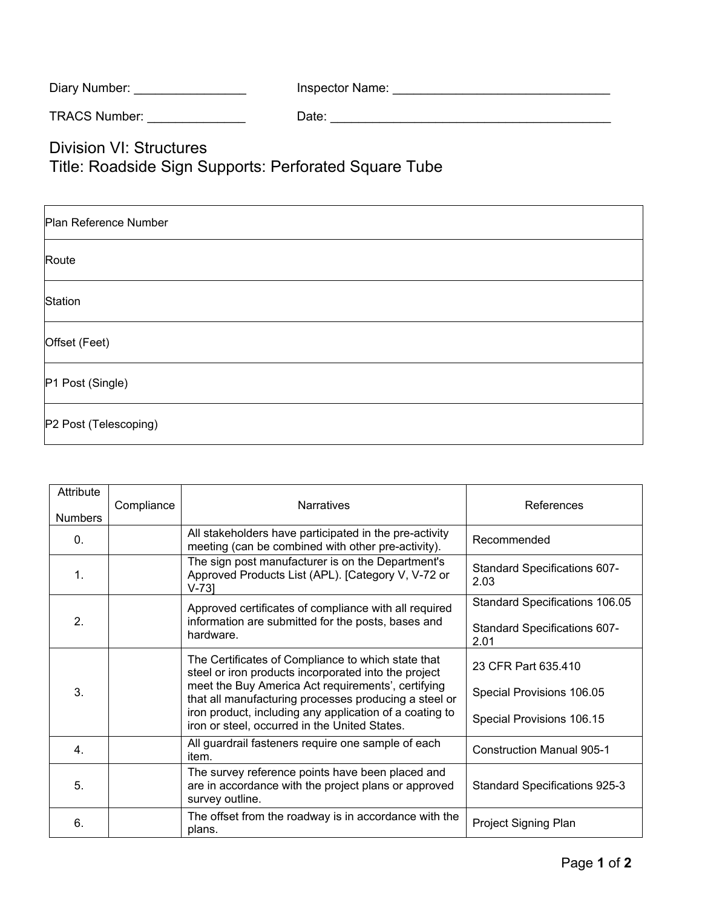| Diary Number: | Inspector Name: |  |
|---------------|-----------------|--|
|               |                 |  |

TRACS Number: \_\_\_\_\_\_\_\_\_\_\_\_\_\_ Date: \_\_\_\_\_\_\_\_\_\_\_\_\_\_\_\_\_\_\_\_\_\_\_\_\_\_\_\_\_\_\_\_\_\_\_\_\_\_\_\_

Division VI: Structures Title: Roadside Sign Supports: Perforated Square Tube

| Plan Reference Number |
|-----------------------|
| Route                 |
| Station               |
| Offset (Feet)         |
| P1 Post (Single)      |
| P2 Post (Telescoping) |

| Attribute<br><b>Numbers</b> | Compliance | <b>Narratives</b>                                                                                                                                                                                                                                                                                                                     | References                                                                    |
|-----------------------------|------------|---------------------------------------------------------------------------------------------------------------------------------------------------------------------------------------------------------------------------------------------------------------------------------------------------------------------------------------|-------------------------------------------------------------------------------|
| $\mathbf{0}$ .              |            | All stakeholders have participated in the pre-activity<br>meeting (can be combined with other pre-activity).                                                                                                                                                                                                                          | Recommended                                                                   |
| $\mathbf{1}$ .              |            | The sign post manufacturer is on the Department's<br>Approved Products List (APL). [Category V, V-72 or<br>$V-73$ ]                                                                                                                                                                                                                   | Standard Specifications 607-<br>2.03                                          |
| 2.                          |            | Approved certificates of compliance with all required<br>information are submitted for the posts, bases and<br>hardware.                                                                                                                                                                                                              | Standard Specifications 106.05<br><b>Standard Specifications 607-</b><br>2.01 |
| 3.                          |            | The Certificates of Compliance to which state that<br>steel or iron products incorporated into the project<br>meet the Buy America Act requirements', certifying<br>that all manufacturing processes producing a steel or<br>iron product, including any application of a coating to<br>iron or steel, occurred in the United States. | 23 CFR Part 635.410<br>Special Provisions 106.05<br>Special Provisions 106.15 |
| $\overline{4}$              |            | All guardrail fasteners require one sample of each<br>item.                                                                                                                                                                                                                                                                           | <b>Construction Manual 905-1</b>                                              |
| 5.                          |            | The survey reference points have been placed and<br>are in accordance with the project plans or approved<br>survey outline.                                                                                                                                                                                                           | Standard Specifications 925-3                                                 |
| 6.                          |            | The offset from the roadway is in accordance with the<br>plans.                                                                                                                                                                                                                                                                       | Project Signing Plan                                                          |